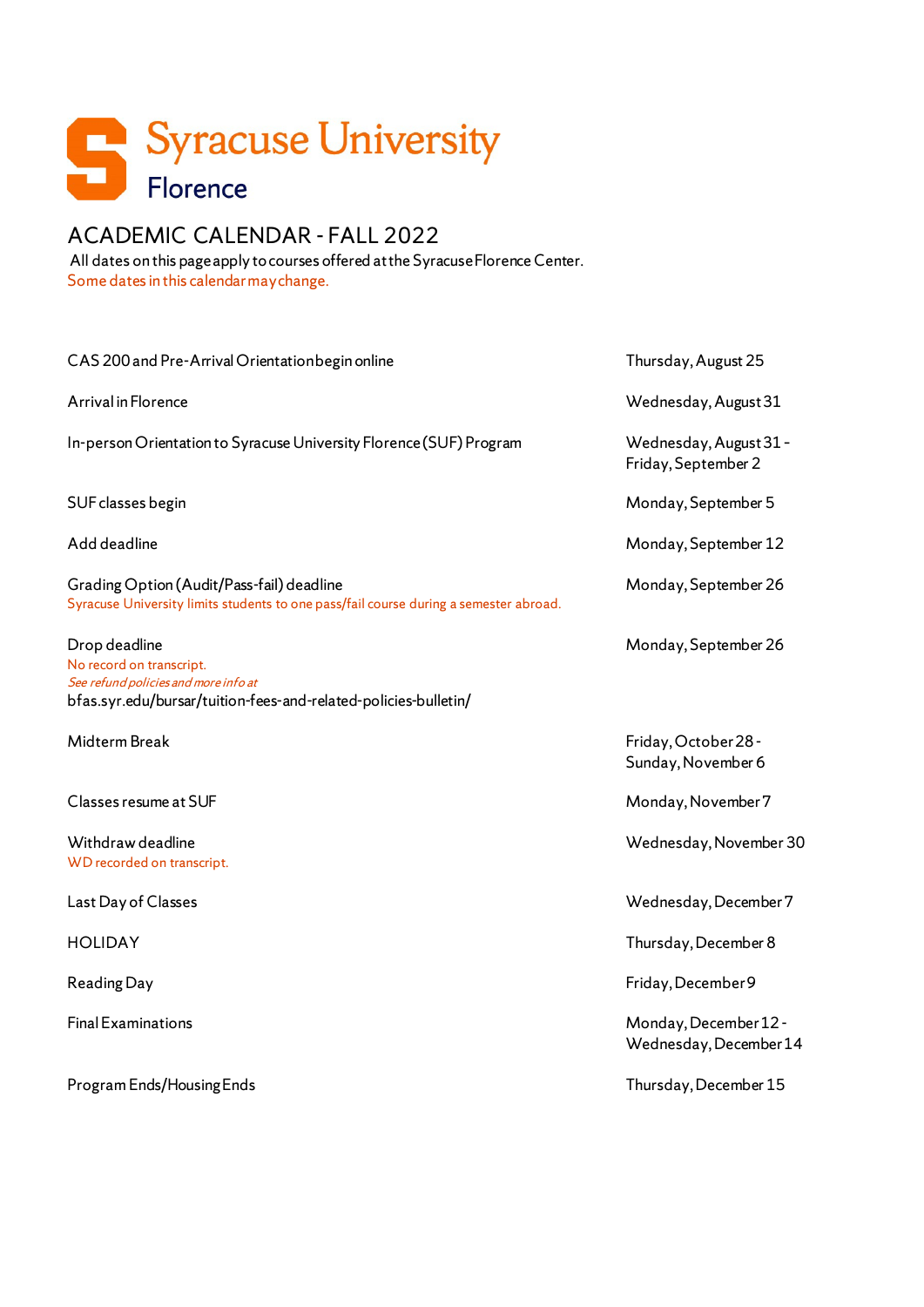

# ACADEMIC CALENDAR - FALL 2022

All dates on this page apply to courses offered at the Syracuse Florence Center. Some dates in this calendar may change.

| CAS 200 and Pre-Arrival Orientation begin online                                                                                                     | Thursday, August 25                             |
|------------------------------------------------------------------------------------------------------------------------------------------------------|-------------------------------------------------|
| Arrival in Florence                                                                                                                                  | Wednesday, August 31                            |
| In-person Orientation to Syracuse University Florence (SUF) Program                                                                                  | Wednesday, August 31 -<br>Friday, September 2   |
| SUF classes begin                                                                                                                                    | Monday, September 5                             |
| Add deadline                                                                                                                                         | Monday, September 12                            |
| Grading Option (Audit/Pass-fail) deadline<br>Syracuse University limits students to one pass/fail course during a semester abroad.                   | Monday, September 26                            |
| Drop deadline<br>No record on transcript.<br>See refund policies and more info at<br>bfas.syr.edu/bursar/tuition-fees-and-related-policies-bulletin/ | Monday, September 26                            |
| Midterm Break                                                                                                                                        | Friday, October 28 -<br>Sunday, November 6      |
| Classes resume at SUF                                                                                                                                | Monday, November 7                              |
| Withdraw deadline<br>WD recorded on transcript.                                                                                                      | Wednesday, November 30                          |
| Last Day of Classes                                                                                                                                  | Wednesday, December 7                           |
|                                                                                                                                                      |                                                 |
| <b>HOLIDAY</b>                                                                                                                                       | Thursday, December 8                            |
| <b>Reading Day</b>                                                                                                                                   | Friday, December 9                              |
| <b>Final Examinations</b>                                                                                                                            | Monday, December 12 -<br>Wednesday, December 14 |